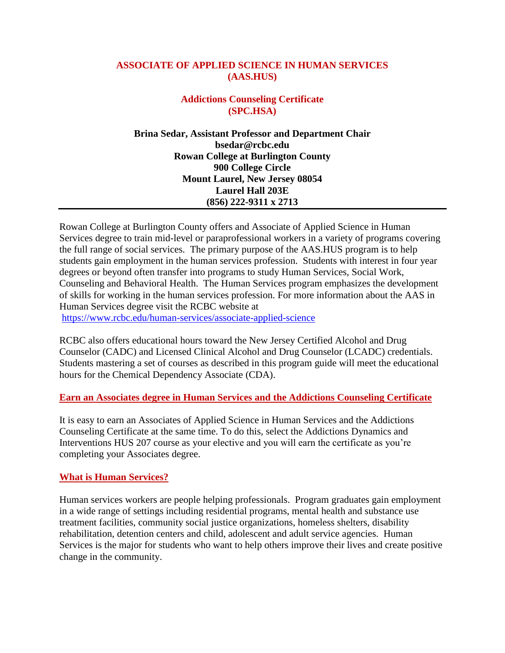## **ASSOCIATE OF APPLIED SCIENCE IN HUMAN SERVICES (AAS.HUS)**

## **Addictions Counseling Certificate (SPC.HSA)**

**Brina Sedar, Assistant Professor and Department Chair [bsedar@rcbc.edu](mailto:bsedar@rcbc.edu) Rowan College at Burlington County 900 College Circle Mount Laurel, New Jersey 08054 Laurel Hall 203E (856) 222-9311 x 2713**

Rowan College at Burlington County offers and Associate of Applied Science in Human Services degree to train mid-level or paraprofessional workers in a variety of programs covering the full range of social services. The primary purpose of the AAS.HUS program is to help students gain employment in the human services profession. Students with interest in four year degrees or beyond often transfer into programs to study Human Services, Social Work, Counseling and Behavioral Health. The Human Services program emphasizes the development of skills for working in the human services profession. For more information about the AAS in Human Services degree visit the RCBC website at

<https://www.rcbc.edu/human-services/associate-applied-science>

RCBC also offers educational hours toward the New Jersey Certified Alcohol and Drug Counselor (CADC) and Licensed Clinical Alcohol and Drug Counselor (LCADC) credentials. Students mastering a set of courses as described in this program guide will meet the educational hours for the Chemical Dependency Associate (CDA).

#### **Earn an Associates degree in Human Services and the Addictions Counseling Certificate**

It is easy to earn an Associates of Applied Science in Human Services and the Addictions Counseling Certificate at the same time. To do this, select the Addictions Dynamics and Interventions HUS 207 course as your elective and you will earn the certificate as you're completing your Associates degree.

#### **What is Human Services?**

Human services workers are people helping professionals. Program graduates gain employment in a wide range of settings including residential programs, mental health and substance use treatment facilities, community social justice organizations, homeless shelters, disability rehabilitation, detention centers and child, adolescent and adult service agencies. Human Services is the major for students who want to help others improve their lives and create positive change in the community.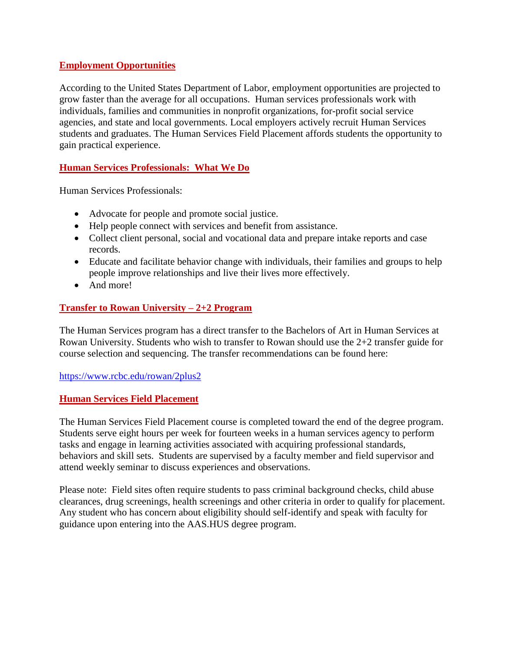## **Employment Opportunities**

According to the United States Department of Labor, employment opportunities are projected to grow faster than the average for all occupations. Human services professionals work with individuals, families and communities in nonprofit organizations, for-profit social service agencies, and state and local governments. Local employers actively recruit Human Services students and graduates. The Human Services Field Placement affords students the opportunity to gain practical experience.

# **Human Services Professionals: What We Do**

Human Services Professionals:

- Advocate for people and promote social justice.
- Help people connect with services and benefit from assistance.
- Collect client personal, social and vocational data and prepare intake reports and case records.
- Educate and facilitate behavior change with individuals, their families and groups to help people improve relationships and live their lives more effectively.
- And more!

## **Transfer to Rowan University – 2+2 Program**

The Human Services program has a direct transfer to the Bachelors of Art in Human Services at Rowan University. Students who wish to transfer to Rowan should use the 2+2 transfer guide for course selection and sequencing. The transfer recommendations can be found here:

#### <https://www.rcbc.edu/rowan/2plus2>

#### **Human Services Field Placement**

The Human Services Field Placement course is completed toward the end of the degree program. Students serve eight hours per week for fourteen weeks in a human services agency to perform tasks and engage in learning activities associated with acquiring professional standards, behaviors and skill sets. Students are supervised by a faculty member and field supervisor and attend weekly seminar to discuss experiences and observations.

Please note: Field sites often require students to pass criminal background checks, child abuse clearances, drug screenings, health screenings and other criteria in order to qualify for placement. Any student who has concern about eligibility should self-identify and speak with faculty for guidance upon entering into the AAS.HUS degree program.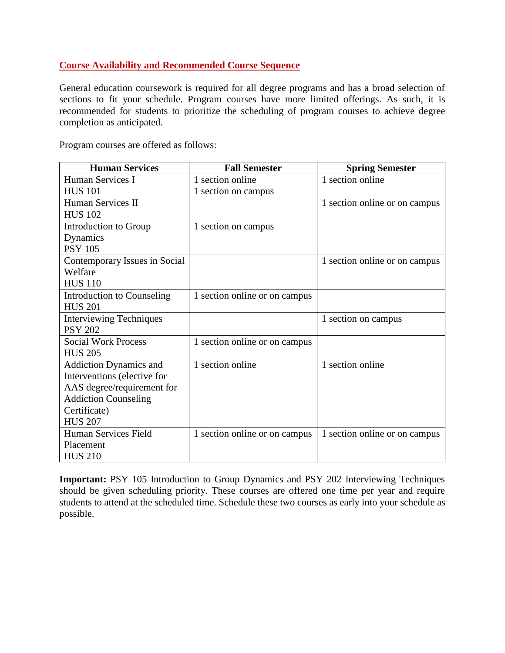## **Course Availability and Recommended Course Sequence**

General education coursework is required for all degree programs and has a broad selection of sections to fit your schedule. Program courses have more limited offerings. As such, it is recommended for students to prioritize the scheduling of program courses to achieve degree completion as anticipated.

Program courses are offered as follows:

| <b>Human Services</b>          | <b>Fall Semester</b>          | <b>Spring Semester</b>        |
|--------------------------------|-------------------------------|-------------------------------|
| Human Services I               | 1 section online              | 1 section online              |
| <b>HUS 101</b>                 | 1 section on campus           |                               |
| Human Services II              |                               | 1 section online or on campus |
| <b>HUS 102</b>                 |                               |                               |
| Introduction to Group          | 1 section on campus           |                               |
| Dynamics                       |                               |                               |
| <b>PSY 105</b>                 |                               |                               |
| Contemporary Issues in Social  |                               | 1 section online or on campus |
| Welfare                        |                               |                               |
| <b>HUS 110</b>                 |                               |                               |
| Introduction to Counseling     | 1 section online or on campus |                               |
| <b>HUS 201</b>                 |                               |                               |
| <b>Interviewing Techniques</b> |                               | 1 section on campus           |
| <b>PSY 202</b>                 |                               |                               |
| <b>Social Work Process</b>     | 1 section online or on campus |                               |
| <b>HUS 205</b>                 |                               |                               |
| <b>Addiction Dynamics and</b>  | 1 section online              | 1 section online              |
| Interventions (elective for    |                               |                               |
| AAS degree/requirement for     |                               |                               |
| <b>Addiction Counseling</b>    |                               |                               |
| Certificate)                   |                               |                               |
| <b>HUS 207</b>                 |                               |                               |
| Human Services Field           | 1 section online or on campus | 1 section online or on campus |
| Placement                      |                               |                               |
| <b>HUS 210</b>                 |                               |                               |

**Important: PSY** 105 Introduction to Group Dynamics and PSY 202 Interviewing Techniques should be given scheduling priority. These courses are offered one time per year and require students to attend at the scheduled time. Schedule these two courses as early into your schedule as possible.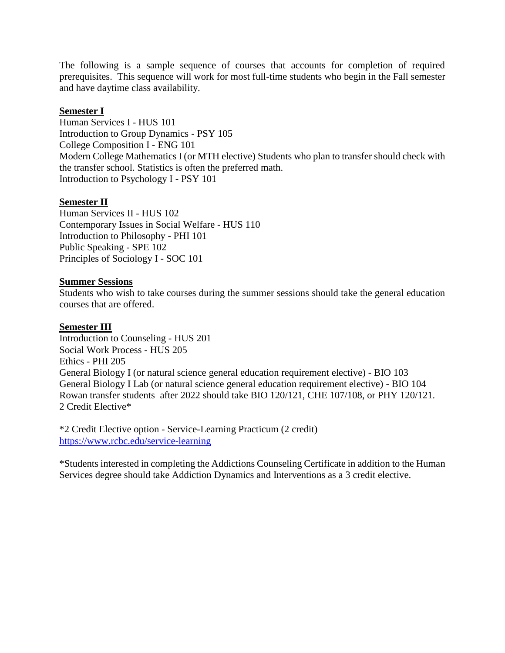The following is a sample sequence of courses that accounts for completion of required prerequisites. This sequence will work for most full-time students who begin in the Fall semester and have daytime class availability.

## **Semester I**

Human Services I - HUS 101 Introduction to Group Dynamics - PSY 105 College Composition I - ENG 101 Modern College Mathematics I (or MTH elective) Students who plan to transfer should check with the transfer school. Statistics is often the preferred math. Introduction to Psychology I - PSY 101

## **Semester II**

Human Services II - HUS 102 Contemporary Issues in Social Welfare - HUS 110 Introduction to Philosophy - PHI 101 Public Speaking - SPE 102 Principles of Sociology I - SOC 101

#### **Summer Sessions**

Students who wish to take courses during the summer sessions should take the general education courses that are offered.

#### **Semester III**

Introduction to Counseling - HUS 201 Social Work Process - HUS 205 Ethics - PHI 205 General Biology I (or natural science general education requirement elective) - BIO 103 General Biology I Lab (or natural science general education requirement elective) - BIO 104 Rowan transfer students after 2022 should take BIO 120/121, CHE 107/108, or PHY 120/121. 2 Credit Elective\*

\*2 Credit Elective option - Service-Learning Practicum (2 credit) <https://www.rcbc.edu/service-learning>

\*Students interested in completing the Addictions Counseling Certificate in addition to the Human Services degree should take Addiction Dynamics and Interventions as a 3 credit elective.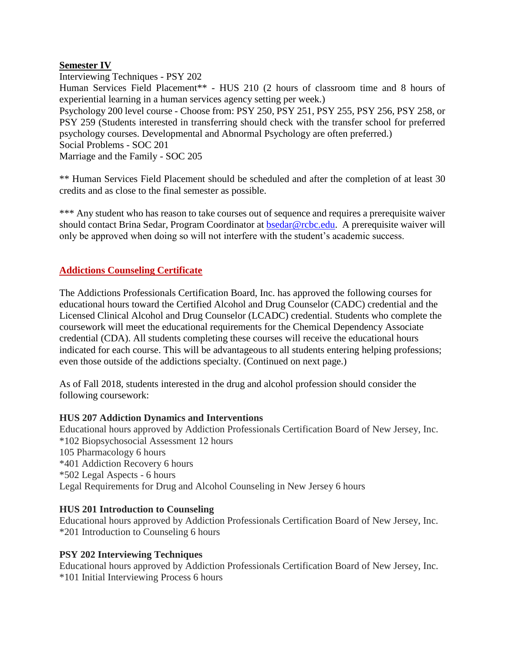## **Semester IV**

Interviewing Techniques - PSY 202 Human Services Field Placement\*\* - HUS 210 (2 hours of classroom time and 8 hours of experiential learning in a human services agency setting per week.) Psychology 200 level course - Choose from: PSY 250, PSY 251, PSY 255, PSY 256, PSY 258, or PSY 259 (Students interested in transferring should check with the transfer school for preferred psychology courses. Developmental and Abnormal Psychology are often preferred.) Social Problems - SOC 201 Marriage and the Family - SOC 205

\*\* Human Services Field Placement should be scheduled and after the completion of at least 30 credits and as close to the final semester as possible.

\*\*\* Any student who has reason to take courses out of sequence and requires a prerequisite waiver should contact Brina Sedar, Program Coordinator at [bsedar@rcbc.edu.](mailto:bsedar@rcbc.edu) A prerequisite waiver will only be approved when doing so will not interfere with the student's academic success.

## **Addictions Counseling Certificate**

The Addictions Professionals Certification Board, Inc. has approved the following courses for educational hours toward the Certified Alcohol and Drug Counselor (CADC) credential and the Licensed Clinical Alcohol and Drug Counselor (LCADC) credential. Students who complete the coursework will meet the educational requirements for the Chemical Dependency Associate credential (CDA). All students completing these courses will receive the educational hours indicated for each course. This will be advantageous to all students entering helping professions; even those outside of the addictions specialty. (Continued on next page.)

As of Fall 2018, students interested in the drug and alcohol profession should consider the following coursework:

#### **HUS 207 Addiction Dynamics and Interventions**

Educational hours approved by Addiction Professionals Certification Board of New Jersey, Inc. \*102 Biopsychosocial Assessment 12 hours 105 Pharmacology 6 hours \*401 Addiction Recovery 6 hours \*502 Legal Aspects - 6 hours Legal Requirements for Drug and Alcohol Counseling in New Jersey 6 hours

#### **HUS 201 Introduction to Counseling**

Educational hours approved by Addiction Professionals Certification Board of New Jersey, Inc. \*201 Introduction to Counseling 6 hours

#### **PSY 202 Interviewing Techniques**

Educational hours approved by Addiction Professionals Certification Board of New Jersey, Inc. \*101 Initial Interviewing Process 6 hours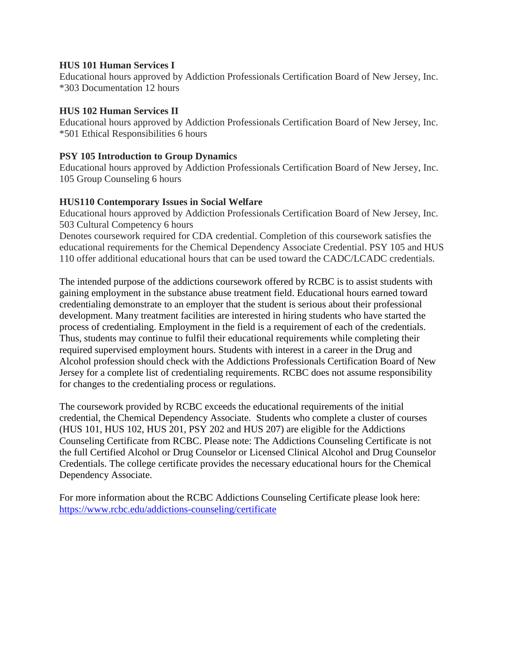#### **HUS 101 Human Services I**

Educational hours approved by Addiction Professionals Certification Board of New Jersey, Inc. \*303 Documentation 12 hours

## **HUS 102 Human Services II**

Educational hours approved by Addiction Professionals Certification Board of New Jersey, Inc. \*501 Ethical Responsibilities 6 hours

## **PSY 105 Introduction to Group Dynamics**

Educational hours approved by Addiction Professionals Certification Board of New Jersey, Inc. 105 Group Counseling 6 hours

## **HUS110 Contemporary Issues in Social Welfare**

Educational hours approved by Addiction Professionals Certification Board of New Jersey, Inc. 503 Cultural Competency 6 hours

Denotes coursework required for CDA credential. Completion of this coursework satisfies the educational requirements for the Chemical Dependency Associate Credential. PSY 105 and HUS 110 offer additional educational hours that can be used toward the CADC/LCADC credentials.

The intended purpose of the addictions coursework offered by RCBC is to assist students with gaining employment in the substance abuse treatment field. Educational hours earned toward credentialing demonstrate to an employer that the student is serious about their professional development. Many treatment facilities are interested in hiring students who have started the process of credentialing. Employment in the field is a requirement of each of the credentials. Thus, students may continue to fulfil their educational requirements while completing their required supervised employment hours. Students with interest in a career in the Drug and Alcohol profession should check with the Addictions Professionals Certification Board of New Jersey for a complete list of credentialing requirements. RCBC does not assume responsibility for changes to the credentialing process or regulations.

The coursework provided by RCBC exceeds the educational requirements of the initial credential, the Chemical Dependency Associate. Students who complete a cluster of courses (HUS 101, HUS 102, HUS 201, PSY 202 and HUS 207) are eligible for the Addictions Counseling Certificate from RCBC. Please note: The Addictions Counseling Certificate is not the full Certified Alcohol or Drug Counselor or Licensed Clinical Alcohol and Drug Counselor Credentials. The college certificate provides the necessary educational hours for the Chemical Dependency Associate.

For more information about the RCBC Addictions Counseling Certificate please look here: <https://www.rcbc.edu/addictions-counseling/certificate>